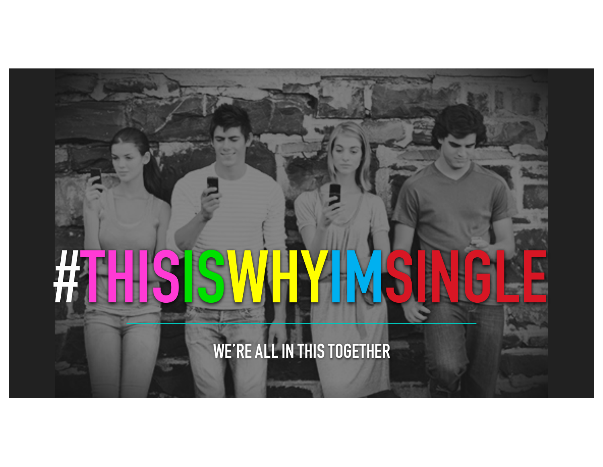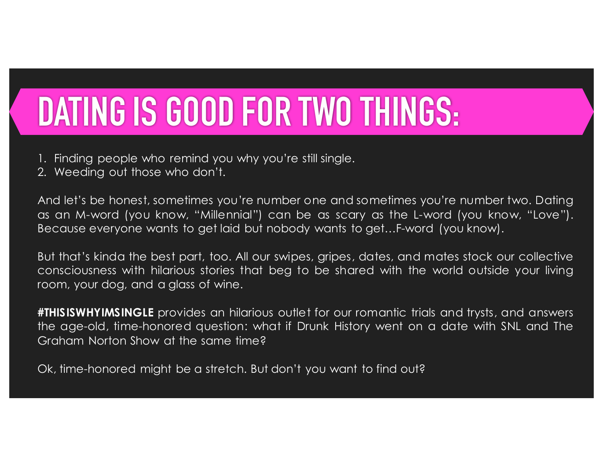## **DATING IS GOOD FOR TWO THINGS:**

- 1. Finding people who remind you why you're still single.
- 2. Weeding out those who don't.

And let's be honest, sometimes you're number one and sometimes you're number two. Dating as an M-word (you know, "Millennial") can be as scary as the L-word (you know, "Love"). Because everyone wants to get laid but nobody wants to get…F-word (you know).

But that's kinda the best part, too. All our swipes, gripes, dates, and mates stock our collective consciousness with hilarious stories that beg to be shared with the world outside your living room, your dog, and a glass of wine.

**#THISISWHYIMSINGLE** provides an hilarious outlet for our romantic trials and trysts, and answers the age-old, time-honored question: what if Drunk History went on a date with SNL and The Graham Norton Show at the same time?

Ok, time-honored might be a stretch. But don't you want to find out?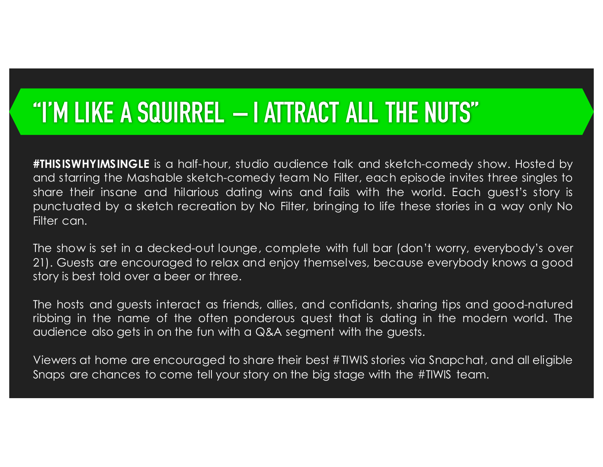### **"I'M LIKE A SQUIRREL – I ATTRACT ALL THE NUTS"**

**#THISISWHYIMSINGLE** is a half-hour, studio audience talk and sketch-comedy show. Hosted by and starring the Mashable sketch-comedy team No Filter, each episode invites three singles to share their insane and hilarious dating wins and fails with the world. Each guest's story is punctuated by a sketch recreation by No Filter, bringing to life these stories in a way only No Filter can.

The show is set in a decked-out lounge, complete with full bar (don't worry, everybody's over 21). Guests are encouraged to relax and enjoy themselves, because everybody knows a good story is best told over a beer or three.

The hosts and guests interact as friends, allies, and confidants, sharing tips and good-natured ribbing in the name of the often ponderous quest that is dating in the modern world. The audience also gets in on the fun with a Q&A segment with the guests.

Viewers at home are encouraged to share their best #TIWIS stories via Snapchat, and all eligible Snaps are chances to come tell your story on the big stage with the #TIWIS team.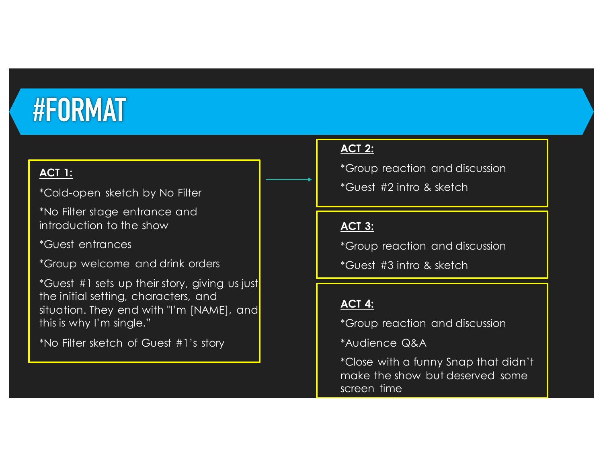## **#FORMAT**

#### **ACT 1:**

\*Cold-open sketch by No Filter

\*No Filter stage entrance and introduction to the show

\*Guest entrances

\*Group welcome and drink orders

\*Guest #1 sets up their story, giving us just the initial setting, characters, and situation. They end with "I'm [NAME], and this is why I'm single."

\*No Filter sketch of Guest #1's story

#### **ACT 2:**

\*Group reaction and discussion

\*Guest #2 intro & sketch

#### **ACT 3:**

\*Group reaction and discussion

\*Guest #3 intro & sketch

#### **ACT 4:**

\*Group reaction and discussion

\*Audience Q&A

\*Close with a funny Snap that didn't make the show but deserved some screen time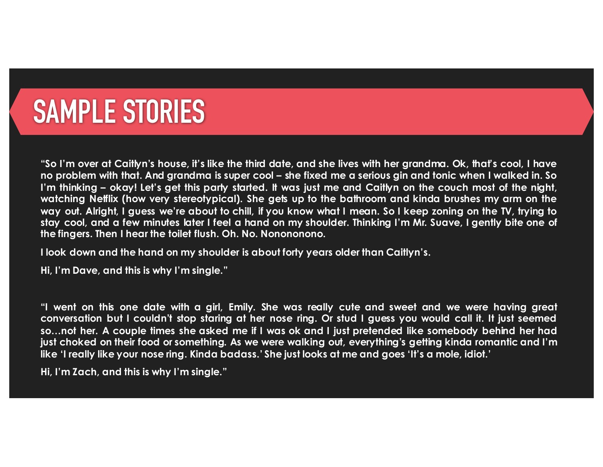## **SAMPLE STORIES**

"So I'm over at Caitlyn's house, it's like the third date, and she lives with her grandma. Ok, that's cool, I have no problem with that. And grandma is super cool – she fixed me a serious gin and tonic when I walked in. So I'm thinking – okay! Let's get this party started. It was just me and Caitlyn on the couch most of the night, watching Netflix (how very stereotypical). She gets up to the bathroom and kinda brushes my arm on the way out. Alright, I guess we're about to chill, if you know what I mean. So I keep zoning on the TV, trying to stay cool, and a few minutes later I feel a hand on my shoulder. Thinking I'm Mr. Suave, I gently bite one of **the fingers. Then I hear the toilet flush. Oh. No. Nonononono.**

**I look down and the hand on my shoulder is about forty years older than Caitlyn's.**

**Hi, I'm Dave, and this is why I'm single."**

"I went on this one date with a girl, Emily. She was really cute and sweet and we were having great conversation but I couldn't stop staring at her nose ring. Or stud I guess you would call it. It just seemed so...not her. A couple times she asked me if I was ok and I just pretended like somebody behind her had just choked on their food or something. As we were walking out, everything's getting kinda romantic and I'm like 'I really like your nose ring. Kinda badass.' She just looks at me and goes 'It's a mole, idiot.'

**Hi, I'm Zach, and this is why I'm single."**